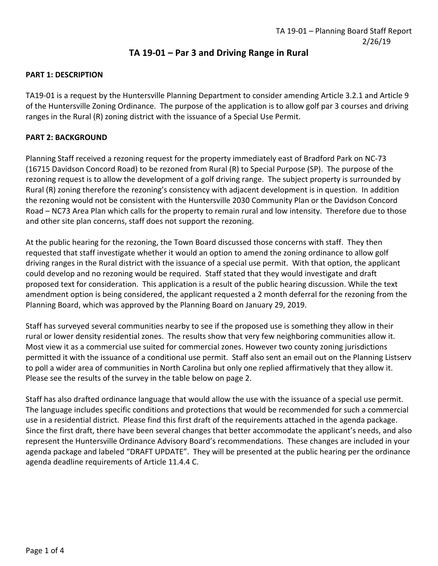# **TA 19-01 – Par 3 and Driving Range in Rural**

## **PART 1: DESCRIPTION**

TA19-01 is a request by the Huntersville Planning Department to consider amending Article 3.2.1 and Article 9 of the Huntersville Zoning Ordinance. The purpose of the application is to allow golf par 3 courses and driving ranges in the Rural (R) zoning district with the issuance of a Special Use Permit.

## **PART 2: BACKGROUND**

Planning Staff received a rezoning request for the property immediately east of Bradford Park on NC-73 (16715 Davidson Concord Road) to be rezoned from Rural (R) to Special Purpose (SP). The purpose of the rezoning request is to allow the development of a golf driving range. The subject property is surrounded by Rural (R) zoning therefore the rezoning's consistency with adjacent development is in question. In addition the rezoning would not be consistent with the Huntersville 2030 Community Plan or the Davidson Concord Road – NC73 Area Plan which calls for the property to remain rural and low intensity. Therefore due to those and other site plan concerns, staff does not support the rezoning.

At the public hearing for the rezoning, the Town Board discussed those concerns with staff. They then requested that staff investigate whether it would an option to amend the zoning ordinance to allow golf driving ranges in the Rural district with the issuance of a special use permit. With that option, the applicant could develop and no rezoning would be required. Staff stated that they would investigate and draft proposed text for consideration. This application is a result of the public hearing discussion. While the text amendment option is being considered, the applicant requested a 2 month deferral for the rezoning from the Planning Board, which was approved by the Planning Board on January 29, 2019.

Staff has surveyed several communities nearby to see if the proposed use is something they allow in their rural or lower density residential zones. The results show that very few neighboring communities allow it. Most view it as a commercial use suited for commercial zones. However two county zoning jurisdictions permitted it with the issuance of a conditional use permit. Staff also sent an email out on the Planning Listserv to poll a wider area of communities in North Carolina but only one replied affirmatively that they allow it. Please see the results of the survey in the table below on page 2.

Staff has also drafted ordinance language that would allow the use with the issuance of a special use permit. The language includes specific conditions and protections that would be recommended for such a commercial use in a residential district. Please find this first draft of the requirements attached in the agenda package. Since the first draft, there have been several changes that better accommodate the applicant's needs, and also represent the Huntersville Ordinance Advisory Board's recommendations. These changes are included in your agenda package and labeled "DRAFT UPDATE". They will be presented at the public hearing per the ordinance agenda deadline requirements of Article 11.4.4 C.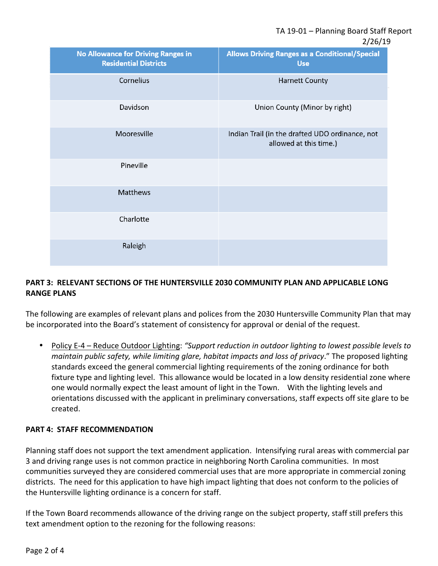2/26/19

| <b>No Allowance for Driving Ranges in</b><br><b>Residential Districts</b> | <b>Allows Driving Ranges as a Conditional/Special</b><br><b>Use</b>       |
|---------------------------------------------------------------------------|---------------------------------------------------------------------------|
| Cornelius                                                                 | <b>Harnett County</b>                                                     |
| Davidson                                                                  | Union County (Minor by right)                                             |
| Mooresville                                                               | Indian Trail (in the drafted UDO ordinance, not<br>allowed at this time.) |
| Pineville                                                                 |                                                                           |
| Matthews                                                                  |                                                                           |
| Charlotte                                                                 |                                                                           |
| Raleigh                                                                   |                                                                           |

# **PART 3: RELEVANT SECTIONS OF THE HUNTERSVILLE 2030 COMMUNITY PLAN AND APPLICABLE LONG RANGE PLANS**

The following are examples of relevant plans and polices from the 2030 Huntersville Community Plan that may be incorporated into the Board's statement of consistency for approval or denial of the request.

• Policy E-4 – Reduce Outdoor Lighting: *"Support reduction in outdoor lighting to lowest possible levels to maintain public safety, while limiting glare, habitat impacts and loss of privacy*." The proposed lighting standards exceed the general commercial lighting requirements of the zoning ordinance for both fixture type and lighting level. This allowance would be located in a low density residential zone where one would normally expect the least amount of light in the Town. With the lighting levels and orientations discussed with the applicant in preliminary conversations, staff expects off site glare to be created.

# **PART 4: STAFF RECOMMENDATION**

Planning staff does not support the text amendment application. Intensifying rural areas with commercial par 3 and driving range uses is not common practice in neighboring North Carolina communities. In most communities surveyed they are considered commercial uses that are more appropriate in commercial zoning districts. The need for this application to have high impact lighting that does not conform to the policies of the Huntersville lighting ordinance is a concern for staff.

If the Town Board recommends allowance of the driving range on the subject property, staff still prefers this text amendment option to the rezoning for the following reasons: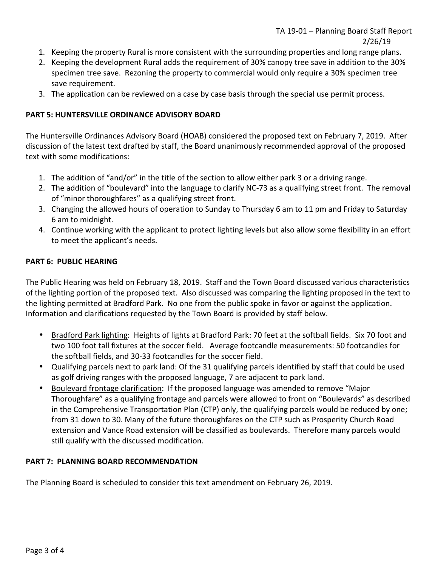- 1. Keeping the property Rural is more consistent with the surrounding properties and long range plans.
- 2. Keeping the development Rural adds the requirement of 30% canopy tree save in addition to the 30% specimen tree save. Rezoning the property to commercial would only require a 30% specimen tree save requirement.
- 3. The application can be reviewed on a case by case basis through the special use permit process.

## **PART 5: HUNTERSVILLE ORDINANCE ADVISORY BOARD**

The Huntersville Ordinances Advisory Board (HOAB) considered the proposed text on February 7, 2019. After discussion of the latest text drafted by staff, the Board unanimously recommended approval of the proposed text with some modifications:

- 1. The addition of "and/or" in the title of the section to allow either park 3 or a driving range.
- 2. The addition of "boulevard" into the language to clarify NC-73 as a qualifying street front. The removal of "minor thoroughfares" as a qualifying street front.
- 3. Changing the allowed hours of operation to Sunday to Thursday 6 am to 11 pm and Friday to Saturday 6 am to midnight.
- 4. Continue working with the applicant to protect lighting levels but also allow some flexibility in an effort to meet the applicant's needs.

## **PART 6: PUBLIC HEARING**

The Public Hearing was held on February 18, 2019. Staff and the Town Board discussed various characteristics of the lighting portion of the proposed text. Also discussed was comparing the lighting proposed in the text to the lighting permitted at Bradford Park. No one from the public spoke in favor or against the application. Information and clarifications requested by the Town Board is provided by staff below.

- Bradford Park lighting: Heights of lights at Bradford Park: 70 feet at the softball fields. Six 70 foot and two 100 foot tall fixtures at the soccer field. Average footcandle measurements: 50 footcandles for the softball fields, and 30-33 footcandles for the soccer field.
- Qualifying parcels next to park land: Of the 31 qualifying parcels identified by staff that could be used as golf driving ranges with the proposed language, 7 are adjacent to park land.
- Boulevard frontage clarification: If the proposed language was amended to remove "Major Thoroughfare" as a qualifying frontage and parcels were allowed to front on "Boulevards" as described in the Comprehensive Transportation Plan (CTP) only, the qualifying parcels would be reduced by one; from 31 down to 30. Many of the future thoroughfares on the CTP such as Prosperity Church Road extension and Vance Road extension will be classified as boulevards. Therefore many parcels would still qualify with the discussed modification.

# **PART 7: PLANNING BOARD RECOMMENDATION**

The Planning Board is scheduled to consider this text amendment on February 26, 2019.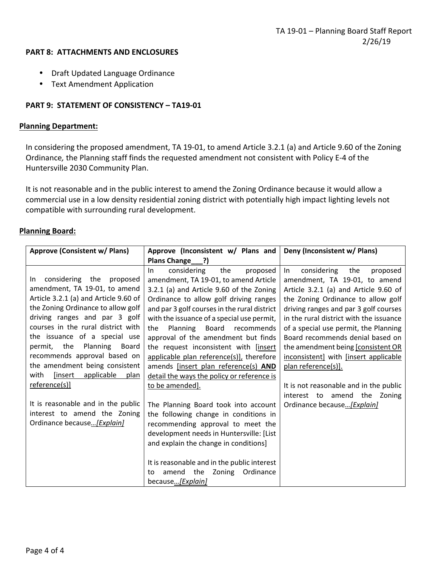#### **PART 8: ATTACHMENTS AND ENCLOSURES**

- Draft Updated Language Ordinance
- Text Amendment Application

## **PART 9: STATEMENT OF CONSISTENCY – TA19-01**

## **Planning Department:**

In considering the proposed amendment, TA 19-01, to amend Article 3.2.1 (a) and Article 9.60 of the Zoning Ordinance*,* the Planning staff finds the requested amendment not consistent with Policy E-4 of the Huntersville 2030 Community Plan.

It is not reasonable and in the public interest to amend the Zoning Ordinance because it would allow a commercial use in a low density residential zoning district with potentially high impact lighting levels not compatible with surrounding rural development.

## **Planning Board:**

| Approve (Consistent w/ Plans)                                                                                                                                                                                                                                                                                                                                                                                                                                                                                                      | Approve (Inconsistent w/ Plans and                                                                                                                                                                                                                                                                                                                                                                                                                                                                                                                                                                                                                                                                                                                                                                                                                                  | Deny (Inconsistent w/ Plans)                                                                                                                                                                                                                                                                                                                                                                                                                                                                                                            |
|------------------------------------------------------------------------------------------------------------------------------------------------------------------------------------------------------------------------------------------------------------------------------------------------------------------------------------------------------------------------------------------------------------------------------------------------------------------------------------------------------------------------------------|---------------------------------------------------------------------------------------------------------------------------------------------------------------------------------------------------------------------------------------------------------------------------------------------------------------------------------------------------------------------------------------------------------------------------------------------------------------------------------------------------------------------------------------------------------------------------------------------------------------------------------------------------------------------------------------------------------------------------------------------------------------------------------------------------------------------------------------------------------------------|-----------------------------------------------------------------------------------------------------------------------------------------------------------------------------------------------------------------------------------------------------------------------------------------------------------------------------------------------------------------------------------------------------------------------------------------------------------------------------------------------------------------------------------------|
|                                                                                                                                                                                                                                                                                                                                                                                                                                                                                                                                    | Plans Change ?)                                                                                                                                                                                                                                                                                                                                                                                                                                                                                                                                                                                                                                                                                                                                                                                                                                                     |                                                                                                                                                                                                                                                                                                                                                                                                                                                                                                                                         |
| considering<br>the<br>proposed<br>In.<br>amendment, TA 19-01, to amend<br>Article 3.2.1 (a) and Article 9.60 of<br>the Zoning Ordinance to allow golf<br>driving ranges and par 3 golf<br>courses in the rural district with<br>the issuance of a special use<br>Planning<br>permit, the<br>Board<br>recommends approval based on<br>the amendment being consistent<br>with<br>[insert<br>applicable<br>plan<br>reference(s)]<br>It is reasonable and in the public<br>interest to amend the Zoning<br>Ordinance because [Explain] | considering<br>the<br>proposed<br>In.<br>amendment, TA 19-01, to amend Article<br>3.2.1 (a) and Article 9.60 of the Zoning<br>Ordinance to allow golf driving ranges<br>and par 3 golf courses in the rural district<br>with the issuance of a special use permit,<br>Board recommends<br>Planning<br>the<br>approval of the amendment but finds<br>the request inconsistent with [insert<br>applicable plan reference(s)], therefore<br>amends [insert plan reference(s) AND<br>detail the ways the policy or reference is<br>to be amended].<br>The Planning Board took into account<br>the following change in conditions in<br>recommending approval to meet the<br>development needs in Huntersville: [List<br>and explain the change in conditions]<br>It is reasonable and in the public interest<br>amend the Zoning<br>Ordinance<br>to<br>because[Explain] | considering<br>$\ln$<br>the<br>proposed<br>amendment, TA 19-01, to amend<br>Article 3.2.1 (a) and Article 9.60 of<br>the Zoning Ordinance to allow golf<br>driving ranges and par 3 golf courses<br>in the rural district with the issuance<br>of a special use permit, the Planning<br>Board recommends denial based on<br>the amendment being [consistent OR<br>inconsistent] with [insert applicable<br>plan reference(s)].<br>It is not reasonable and in the public<br>interest to amend the Zoning<br>Ordinance because [Explain] |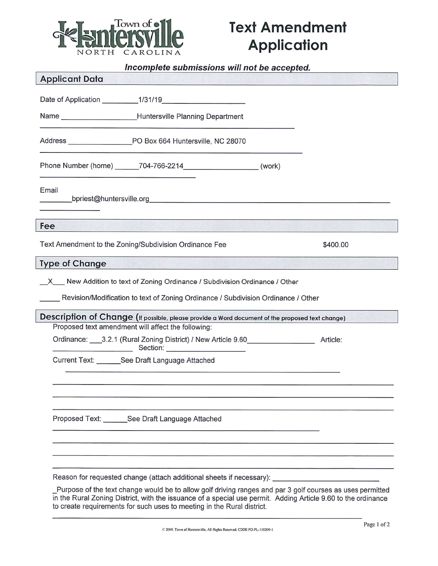

# **Text Amendment Application**

## Incomplete submissions will not be accepted.

| <b>Applicant Data</b> |                                                                                                                                                                    |          |
|-----------------------|--------------------------------------------------------------------------------------------------------------------------------------------------------------------|----------|
|                       |                                                                                                                                                                    |          |
|                       |                                                                                                                                                                    |          |
|                       |                                                                                                                                                                    |          |
|                       | Phone Number (home) _______704-766-2214__________________________(work)                                                                                            |          |
| Email                 |                                                                                                                                                                    |          |
| Fee                   | <u> Produktiva Santa Antika Maria Maria Maria Maria Maria Maria </u>                                                                                               |          |
|                       | Text Amendment to the Zoning/Subdivision Ordinance Fee                                                                                                             | \$400.00 |
| <b>Type of Change</b> |                                                                                                                                                                    |          |
|                       | _X__ New Addition to text of Zoning Ordinance / Subdivision Ordinance / Other<br>Revision/Modification to text of Zoning Ordinance / Subdivision Ordinance / Other |          |
|                       | Description of Change (If possible, please provide a Word document of the proposed text change)                                                                    |          |
|                       | Proposed text amendment will affect the following:<br>Ordinance: 3.2.1 (Rural Zoning District) / New Article 9.60                                                  | Article: |
|                       | Current Text: See Draft Language Attached                                                                                                                          |          |
|                       |                                                                                                                                                                    |          |
|                       | Proposed Text: ________ See Draft Language Attached                                                                                                                |          |
|                       |                                                                                                                                                                    |          |
|                       | Reason for requested change (attach additional sheets if necessary):                                                                                               |          |

Purpose of the text change would be to allow golf driving ranges and par 3 golf courses as uses permitted<br>in the Rural Zoning District, with the issuance of a special use permit. Adding Article 9.60 to the ordinance to create requirements for such uses to meeting in the Rural district.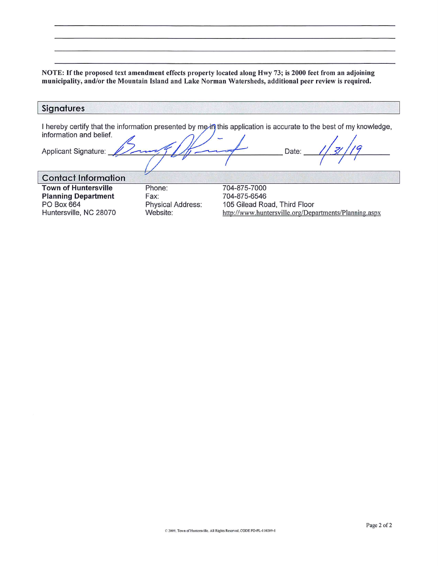NOTE: If the proposed text amendment effects property located along Hwy 73; is 2000 feet from an adjoining municipality, and/or the Mountain Island and Lake Norman Watersheds, additional peer review is required.

| <b>Signatures</b>                                                                                 |                                                        |                                                                                                                             |  |
|---------------------------------------------------------------------------------------------------|--------------------------------------------------------|-----------------------------------------------------------------------------------------------------------------------------|--|
| information and belief.<br>Applicant Signature:                                                   |                                                        | I hereby certify that the information presented by me-in this application is accurate to the best of my knowledge,<br>Date: |  |
| <b>Contact Information</b>                                                                        |                                                        |                                                                                                                             |  |
| <b>Town of Huntersville</b><br><b>Planning Department</b><br>PO Box 664<br>Huntersville, NC 28070 | Phone:<br>Fax:<br><b>Physical Address:</b><br>Website: | 704-875-7000<br>704-875-6546<br>105 Gilead Road, Third Floor<br>http://www.huntersville.org/Departments/Planning.aspx       |  |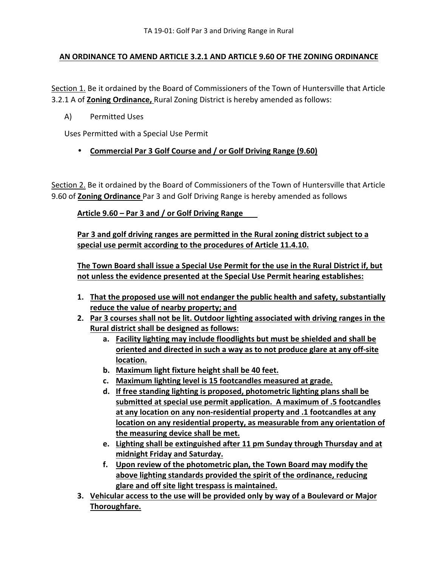## **AN ORDINANCE TO AMEND ARTICLE 3.2.1 AND ARTICLE 9.60 OF THE ZONING ORDINANCE**

Section 1. Be it ordained by the Board of Commissioners of the Town of Huntersville that Article 3.2.1 A of **Zoning Ordinance,** Rural Zoning District is hereby amended as follows:

A) Permitted Uses

Uses Permitted with a Special Use Permit

• **Commercial Par 3 Golf Course and / or Golf Driving Range (9.60)** 

Section 2. Be it ordained by the Board of Commissioners of the Town of Huntersville that Article 9.60 of **Zoning Ordinance** Par 3 and Golf Driving Range is hereby amended as follows

**Article 9.60 – Par 3 and / or Golf Driving Range** 

**Par 3 and golf driving ranges are permitted in the Rural zoning district subject to a special use permit according to the procedures of Article 11.4.10.** 

**The Town Board shall issue a Special Use Permit for the use in the Rural District if, but not unless the evidence presented at the Special Use Permit hearing establishes:** 

- **1. That the proposed use will not endanger the public health and safety, substantially reduce the value of nearby property; and**
- **2. Par 3 courses shall not be lit. Outdoor lighting associated with driving ranges in the Rural district shall be designed as follows:** 
	- **a. Facility lighting may include floodlights but must be shielded and shall be oriented and directed in such a way as to not produce glare at any off-site location.**
	- **b. Maximum light fixture height shall be 40 feet.**
	- **c. Maximum lighting level is 15 footcandles measured at grade.**
	- **d. If free standing lighting is proposed, photometric lighting plans shall be submitted at special use permit application. A maximum of .5 footcandles at any location on any non-residential property and .1 footcandles at any location on any residential property, as measurable from any orientation of the measuring device shall be met.**
	- **e. Lighting shall be extinguished after 11 pm Sunday through Thursday and at midnight Friday and Saturday.**
	- **f. Upon review of the photometric plan, the Town Board may modify the above lighting standards provided the spirit of the ordinance, reducing glare and off site light trespass is maintained.**
- **3. Vehicular access to the use will be provided only by way of a Boulevard or Major Thoroughfare.**